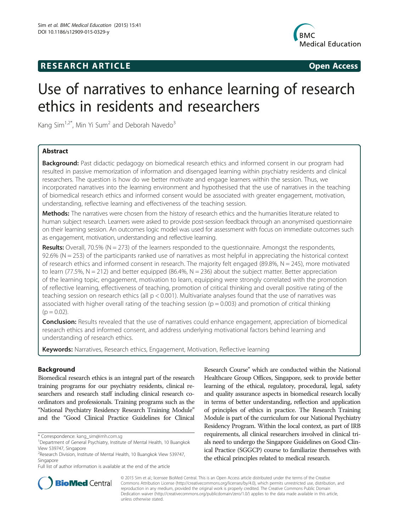# **RESEARCH ARTICLE Example 2014 CONSIDERING CONSIDERING CONSIDERING CONSIDERING CONSIDERING CONSIDERING CONSIDERING CONSIDERING CONSIDERING CONSIDERING CONSIDERING CONSIDERING CONSIDERING CONSIDERING CONSIDERING CONSIDE**



# Use of narratives to enhance learning of research ethics in residents and researchers

Kang Sim<sup>1,2\*</sup>, Min Yi Sum<sup>2</sup> and Deborah Navedo<sup>3</sup>

# Abstract

**Background:** Past didactic pedagogy on biomedical research ethics and informed consent in our program had resulted in passive memorization of information and disengaged learning within psychiatry residents and clinical researchers. The question is how do we better motivate and engage learners within the session. Thus, we incorporated narratives into the learning environment and hypothesised that the use of narratives in the teaching of biomedical research ethics and informed consent would be associated with greater engagement, motivation, understanding, reflective learning and effectiveness of the teaching session.

Methods: The narratives were chosen from the history of research ethics and the humanities literature related to human subject research. Learners were asked to provide post-session feedback through an anonymised questionnaire on their learning session. An outcomes logic model was used for assessment with focus on immediate outcomes such as engagement, motivation, understanding and reflective learning.

**Results:** Overall, 70.5% (N = 273) of the learners responded to the questionnaire. Amongst the respondents, 92.6% ( $N = 253$ ) of the participants ranked use of narratives as most helpful in appreciating the historical context of research ethics and informed consent in research. The majority felt engaged (89.8%,  $N = 245$ ), more motivated to learn (77.5%,  $N = 212$ ) and better equipped (86.4%,  $N = 236$ ) about the subject matter. Better appreciation of the learning topic, engagement, motivation to learn, equipping were strongly correlated with the promotion of reflective learning, effectiveness of teaching, promotion of critical thinking and overall positive rating of the teaching session on research ethics (all p < 0.001). Multivariate analyses found that the use of narratives was associated with higher overall rating of the teaching session ( $p = 0.003$ ) and promotion of critical thinking  $(p = 0.02)$ .

**Conclusion:** Results revealed that the use of narratives could enhance engagement, appreciation of biomedical research ethics and informed consent, and address underlying motivational factors behind learning and understanding of research ethics.

Keywords: Narratives, Research ethics, Engagement, Motivation, Reflective learning

# Background

Biomedical research ethics is an integral part of the research training programs for our psychiatry residents, clinical researchers and research staff including clinical research coordinators and professionals. Training programs such as the "National Psychiatry Residency Research Training Module" and the "Good Clinical Practice Guidelines for Clinical

Research Course" which are conducted within the National Healthcare Group Offices, Singapore, seek to provide better learning of the ethical, regulatory, procedural, legal, safety and quality assurance aspects in biomedical research locally in terms of better understanding, reflection and application of principles of ethics in practice. The Research Training Module is part of the curriculum for our National Psychiatry Residency Program. Within the local context, as part of IRB requirements, all clinical researchers involved in clinical trials need to undergo the Singapore Guidelines on Good Clinical Practice (SGGCP) course to familiarize themselves with the ethical principles related to medical research.



© 2015 Sim et al.; licensee BioMed Central. This is an Open Access article distributed under the terms of the Creative Commons Attribution License [\(http://creativecommons.org/licenses/by/4.0\)](http://creativecommons.org/licenses/by/4.0), which permits unrestricted use, distribution, and reproduction in any medium, provided the original work is properly credited. The Creative Commons Public Domain Dedication waiver [\(http://creativecommons.org/publicdomain/zero/1.0/](http://creativecommons.org/publicdomain/zero/1.0/)) applies to the data made available in this article, unless otherwise stated.

<sup>\*</sup> Correspondence: [kang\\_sim@imh.com.sg](mailto:kang_sim@imh.com.sg) <sup>1</sup>

<sup>&</sup>lt;sup>1</sup>Department of General Psychiatry, Institute of Mental Health, 10 Buangkok View 539747, Singapore

<sup>2</sup> Research Division, Institute of Mental Health, 10 Buangkok View 539747, Singapore

Full list of author information is available at the end of the article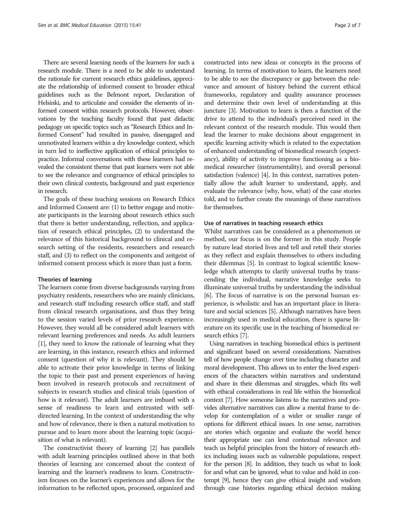There are several learning needs of the learners for such a research module. There is a need to be able to understand the rationale for current research ethics guidelines, appreciate the relationship of informed consent to broader ethical guidelines such as the Belmont report, Declaration of Helsinki, and to articulate and consider the elements of informed consent within research protocols. However, observations by the teaching faculty found that past didactic pedagogy on specific topics such as "Research Ethics and Informed Consent" had resulted in passive, disengaged and unmotivated learners within a dry knowledge context, which in turn led to ineffective application of ethical principles to practice. Informal conversations with these learners had revealed the consistent theme that past learners were not able to see the relevance and congruence of ethical principles to their own clinical contexts, background and past experience in research.

The goals of these teaching sessions on Research Ethics and Informed Consent are: (1) to better engage and motivate participants in the learning about research ethics such that there is better understanding, reflection, and application of research ethical principles, (2) to understand the relevance of this historical background to clinical and research setting of the residents, researchers and research staff, and (3) to reflect on the components and zeitgeist of informed consent process which is more than just a form.

#### Theories of learning

The learners come from diverse backgrounds varying from psychiatry residents, researchers who are mainly clinicians, and research staff including research office staff, and staff from clinical research organisations, and thus they bring to the session varied levels of prior research experience. However, they would all be considered adult learners with relevant learning preferences and needs. As adult learners [[1\]](#page-5-0), they need to know the rationale of learning what they are learning, in this instance, research ethics and informed consent (question of why it is relevant). They should be able to activate their prior knowledge in terms of linking the topic to their past and present experiences of having been involved in research protocols and recruitment of subjects in research studies and clinical trials (question of how is it relevant). The adult learners are imbued with a sense of readiness to learn and entrusted with selfdirected learning. In the context of understanding the why and how of relevance, there is then a natural motivation to pursue and to learn more about the learning topic (acquisition of what is relevant).

The constructivist theory of learning [\[2\]](#page-5-0) has parallels with adult learning principles outlined above in that both theories of learning are concerned about the context of learning and the learner's readiness to learn. Constructivism focuses on the learner's experiences and allows for the information to be reflected upon, processed, organized and

constructed into new ideas or concepts in the process of learning. In terms of motivation to learn, the learners need to be able to see the discrepancy or gap between the relevance and amount of history behind the current ethical frameworks, regulatory and quality assurance processes and determine their own level of understanding at this juncture [\[3\]](#page-5-0). Motivation to learn is then a function of the drive to attend to the individual's perceived need in the relevant context of the research module. This would then lead the learner to make decisions about engagement in specific learning activity which is related to the expectation of enhanced understanding of biomedical research (expectancy), ability of activity to improve functioning as a biomedical researcher (instrumentality), and overall personal satisfaction (valence) [\[4](#page-5-0)]. In this context, narratives potentially allow the adult learner to understand, apply, and evaluate the relevance (why, how, what) of the case stories told, and to further create the meanings of these narratives for themselves.

#### Use of narratives in teaching research ethics

Whilst narratives can be considered as a phenomenon or method, our focus is on the former in this study. People by nature lead storied lives and tell and retell their stories as they reflect and explain themselves to others including their dilemmas [\[5\]](#page-5-0). In contrast to logical scientific knowledge which attempts to clarify universal truths by transcending the individual, narrative knowledge seeks to illuminate universal truths by understanding the individual [[6\]](#page-5-0). The focus of narrative is on the personal human experience, is wholistic and has an important place in literature and social sciences [\[5\]](#page-5-0). Although narratives have been increasingly used in medical education, there is sparse literature on its specific use in the teaching of biomedical research ethics [\[7](#page-5-0)].

Using narratives in teaching biomedical ethics is pertinent and significant based on several considerations. Narratives tell of how people change over time including character and moral development. This allows us to enter the lived experiences of the characters within narratives and understand and share in their dilemmas and struggles, which fits well with ethical considerations in real life within the biomedical context [\[7\]](#page-5-0). How someone listens to the narratives and provides alternative narratives can allow a mental frame to develop for contemplation of a wider or smaller range of options for different ethical issues. In one sense, narratives are stories which organize and evaluate the world hence their appropriate use can lend contextual relevance and teach us helpful principles from the history of research ethics including issues such as vulnerable populations, respect for the person [\[8\]](#page-5-0). In addition, they teach us what to look for and what can be ignored, what to value and hold in contempt [\[9](#page-5-0)], hence they can give ethical insight and wisdom through case histories regarding ethical decision making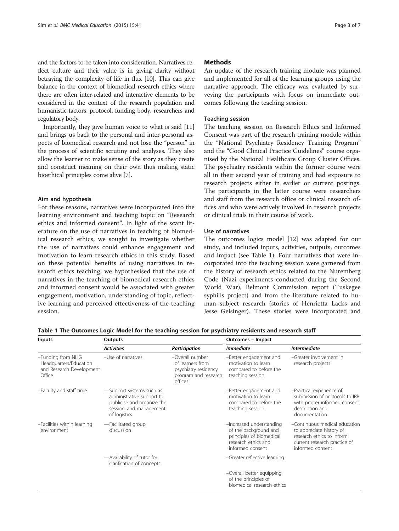and the factors to be taken into consideration. Narratives reflect culture and their value is in giving clarity without betraying the complexity of life in flux [\[10\]](#page-5-0). This can give balance in the context of biomedical research ethics where there are often inter-related and interactive elements to be considered in the context of the research population and humanistic factors, protocol, funding body, researchers and regulatory body.

Importantly, they give human voice to what is said [[11](#page-5-0)] and brings us back to the personal and inter-personal aspects of biomedical research and not lose the "person" in the process of scientific scrutiny and analyses. They also allow the learner to make sense of the story as they create and construct meaning on their own thus making static bioethical principles come alive [\[7](#page-5-0)].

#### Aim and hypothesis

For these reasons, narratives were incorporated into the learning environment and teaching topic on "Research ethics and informed consent". In light of the scant literature on the use of narratives in teaching of biomedical research ethics, we sought to investigate whether the use of narratives could enhance engagement and motivation to learn research ethics in this study. Based on these potential benefits of using narratives in research ethics teaching, we hypothesised that the use of narratives in the teaching of biomedical research ethics and informed consent would be associated with greater engagement, motivation, understanding of topic, reflective learning and perceived effectiveness of the teaching session.

#### **Methods**

An update of the research training module was planned and implemented for all of the learning groups using the narrative approach. The efficacy was evaluated by surveying the participants with focus on immediate outcomes following the teaching session.

## Teaching session

The teaching session on Research Ethics and Informed Consent was part of the research training module within the "National Psychiatry Residency Training Program" and the "Good Clinical Practice Guidelines" course organised by the National Healthcare Group Cluster Offices. The psychiatry residents within the former course were all in their second year of training and had exposure to research projects either in earlier or current postings. The participants in the latter course were researchers and staff from the research office or clinical research offices and who were actively involved in research projects or clinical trials in their course of work.

## Use of narratives

The outcomes logics model [\[12](#page-5-0)] was adapted for our study, and included inputs, activities, outputs, outcomes and impact (see Table 1). Four narratives that were incorporated into the teaching session were garnered from the history of research ethics related to the Nuremberg Code (Nazi experiments conducted during the Second World War), Belmont Commission report (Tuskegee syphilis project) and from the literature related to human subject research (stories of Henrietta Lacks and Jesse Gelsinger). These stories were incorporated and

| <b>Inputs</b>                                                                     | Outputs                                                                                                                        |                                                                                                | Outcomes - Impact                                                                                                        |                                                                                                                                            |
|-----------------------------------------------------------------------------------|--------------------------------------------------------------------------------------------------------------------------------|------------------------------------------------------------------------------------------------|--------------------------------------------------------------------------------------------------------------------------|--------------------------------------------------------------------------------------------------------------------------------------------|
|                                                                                   | <b>Activities</b>                                                                                                              | Participation                                                                                  | <i><b>Immediate</b></i>                                                                                                  | <i><b>Intermediate</b></i>                                                                                                                 |
| -Funding from NHG<br>Headquarters/Education<br>and Research Development<br>Office | -Use of narratives                                                                                                             | -Overall number<br>of learners from<br>psychiatry residency<br>program and research<br>offices | -Better engagement and<br>motivation to learn<br>compared to before the<br>teaching session                              | -Greater involvement in<br>research projects                                                                                               |
| -Faculty and staff time                                                           | -Support systems such as<br>administrative support to<br>publicise and organize the<br>session, and management<br>of logistics |                                                                                                | -Better engagement and<br>motivation to learn<br>compared to before the<br>teaching session                              | -Practical experience of<br>submission of protocols to IRB<br>with proper informed consent<br>description and<br>documentation             |
| -Facilities within learning<br>environment                                        | -Facilitated group<br>discussion                                                                                               |                                                                                                | -Increased understanding<br>of the background and<br>principles of biomedical<br>research ethics and<br>informed consent | -Continuous medical education<br>to appreciate history of<br>research ethics to inform<br>current research practice of<br>informed consent |
|                                                                                   | -Availability of tutor for<br>clarification of concepts                                                                        |                                                                                                | -Greater reflective learning                                                                                             |                                                                                                                                            |
|                                                                                   |                                                                                                                                |                                                                                                | -Overall better equipping<br>of the principles of<br>biomedical research ethics                                          |                                                                                                                                            |

Table 1 The Outcomes Logic Model for the teaching session for psychiatry residents and research staff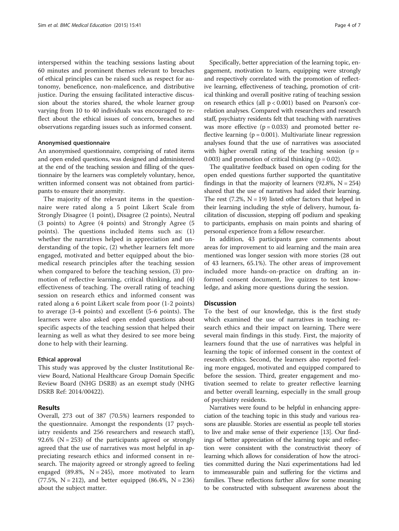interspersed within the teaching sessions lasting about 60 minutes and prominent themes relevant to breaches of ethical principles can be raised such as respect for autonomy, beneficence, non-maleficence, and distributive justice. During the ensuing facilitated interactive discussion about the stories shared, the whole learner group varying from 10 to 40 individuals was encouraged to reflect about the ethical issues of concern, breaches and observations regarding issues such as informed consent.

#### Anonymised questionnaire

An anonymised questionnaire, comprising of rated items and open ended questions, was designed and administered at the end of the teaching session and filling of the questionnaire by the learners was completely voluntary, hence, written informed consent was not obtained from participants to ensure their anonymity.

The majority of the relevant items in the questionnaire were rated along a 5 point Likert Scale from Strongly Disagree (1 point), Disagree (2 points), Neutral (3 points) to Agree (4 points) and Strongly Agree (5 points). The questions included items such as: (1) whether the narratives helped in appreciation and understanding of the topic, (2) whether learners felt more engaged, motivated and better equipped about the biomedical research principles after the teaching session when compared to before the teaching session, (3) promotion of reflective learning, critical thinking, and (4) effectiveness of teaching. The overall rating of teaching session on research ethics and informed consent was rated along a 6 point Likert scale from poor (1-2 points) to average (3-4 points) and excellent (5-6 points). The learners were also asked open ended questions about specific aspects of the teaching session that helped their learning as well as what they desired to see more being done to help with their learning.

#### Ethical approval

This study was approved by the cluster Institutional Review Board, National Healthcare Group Domain Specific Review Board (NHG DSRB) as an exempt study (NHG DSRB Ref: 2014/00422).

#### Results

Overall, 273 out of 387 (70.5%) learners responded to the questionnaire. Amongst the respondents (17 psychiatry residents and 256 researchers and research staff), 92.6% ( $N = 253$ ) of the participants agreed or strongly agreed that the use of narratives was most helpful in appreciating research ethics and informed consent in research. The majority agreed or strongly agreed to feeling engaged (89.8%,  $N = 245$ ), more motivated to learn  $(77.5\%, N = 212)$ , and better equipped  $(86.4\%, N = 236)$ about the subject matter.

Specifically, better appreciation of the learning topic, engagement, motivation to learn, equipping were strongly and respectively correlated with the promotion of reflective learning, effectiveness of teaching, promotion of critical thinking and overall positive rating of teaching session on research ethics (all p < 0.001) based on Pearson's correlation analyses. Compared with researchers and research staff, psychiatry residents felt that teaching with narratives was more effective  $(p = 0.033)$  and promoted better reflective learning  $(p = 0.001)$ . Multivariate linear regression analyses found that the use of narratives was associated with higher overall rating of the teaching session ( $p =$ 0.003) and promotion of critical thinking  $(p = 0.02)$ .

The qualitative feedback based on open coding for the open ended questions further supported the quantitative findings in that the majority of learners  $(92.8\%, N = 254)$ shared that the use of narratives had aided their learning. The rest  $(7.2\%, N = 19)$  listed other factors that helped in their learning including the style of delivery, humour, facilitation of discussion, stepping off podium and speaking to participants, emphasis on main points and sharing of personal experience from a fellow researcher.

In addition, 43 participants gave comments about areas for improvement to aid learning and the main area mentioned was longer session with more stories (28 out of 43 learners, 65.1%). The other areas of improvement included more hands-on-practice on drafting an informed consent document, live quizzes to test knowledge, and asking more questions during the session.

#### **Discussion**

To the best of our knowledge, this is the first study which examined the use of narratives in teaching research ethics and their impact on learning. There were several main findings in this study. First, the majority of learners found that the use of narratives was helpful in learning the topic of informed consent in the context of research ethics. Second, the learners also reported feeling more engaged, motivated and equipped compared to before the session. Third, greater engagement and motivation seemed to relate to greater reflective learning and better overall learning, especially in the small group of psychiatry residents.

Narratives were found to be helpful in enhancing appreciation of the teaching topic in this study and various reasons are plausible. Stories are essential as people tell stories to live and make sense of their experience [\[13](#page-5-0)]. Our findings of better appreciation of the learning topic and reflection were consistent with the constructivist theory of learning which allows for consideration of how the atrocities committed during the Nazi experimentations had led to immeasurable pain and suffering for the victims and families. These reflections further allow for some meaning to be constructed with subsequent awareness about the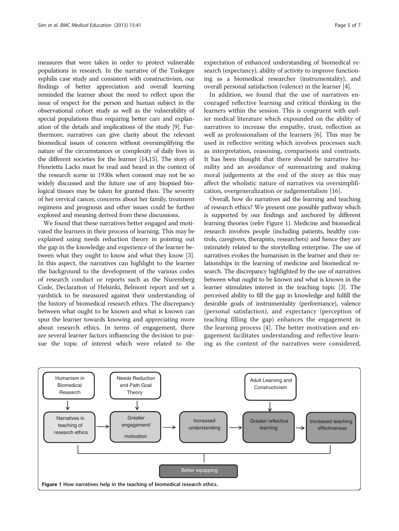measures that were taken in order to protect vulnerable populations in research. In the narrative of the Tuskegee syphilis case study and consistent with constructivism, our findings of better appreciation and overall learning reminded the learner about the need to reflect upon the issue of respect for the person and human subject in the observational cohort study as well as the vulnerability of special populations thus requiring better care and explanation of the details and implications of the study [\[9](#page-5-0)]. Furthermore, narratives can give clarity about the relevant biomedical issues of concern without oversimplifying the nature of the circumstances or complexity of daily lives in the different societies for the learner [\[14,15\]](#page-5-0). The story of Henrietta Lacks must be read and heard in the context of the research scene in 1930s when consent may not be so widely discussed and the future use of any biopsied biological tissues may be taken for granted then. The severity of her cervical cancer, concerns about her family, treatment regimens and prognosis and other issues could be further explored and meaning derived from these discussions.

We found that these narratives better engaged and motivated the learners in their process of learning. This may be explained using needs reduction theory in pointing out the gap in the knowledge and experience of the learner between what they ought to know and what they know [[3](#page-5-0)]. In this aspect, the narratives can highlight to the learner the background to the development of the various codes of research conduct or reports such as the Nuremberg Code, Declaration of Helsinki, Belmont report and set a yardstick to be measured against their understanding of the history of biomedical research ethics. The discrepancy between what ought to be known and what is known can spur the learner towards knowing and appreciating more about research ethics. In terms of engagement, there are several learner factors influencing the decision to pursue the topic of interest which were related to the

expectation of enhanced understanding of biomedical research (expectancy), ability of activity to improve functioning as a biomedical researcher (instrumentality), and overall personal satisfaction (valence) in the learner [[4](#page-5-0)].

In addition, we found that the use of narratives encouraged reflective learning and critical thinking in the learners within the session. This is congruent with earlier medical literature which expounded on the ability of narratives to increase the empathy, trust, reflection as well as professionalism of the learners [\[6](#page-5-0)]. This may be used in reflective writing which involves processes such as interpretation, reasoning, comparisons and contrasts. It has been thought that there should be narrative humility and an avoidance of summarizing and making moral judgements at the end of the story as this may affect the wholistic nature of narratives via oversimplification, overgeneralization or judgementalism [\[16](#page-5-0)].

Overall, how do narratives aid the learning and teaching of research ethics? We present one possible pathway which is supported by our findings and anchored by different learning theories (refer Figure 1). Medicine and biomedical research involves people (including patients, healthy controls, caregivers, therapists, researchers) and hence they are intimately related to the storytelling enterprise. The use of narratives evokes the humanism in the learner and their relationships in the learning of medicine and biomedical research. The discrepancy highlighted by the use of narratives between what ought to be known and what is known in the learner stimulates interest in the teaching topic [\[3](#page-5-0)]. The perceived ability to fill the gap in knowledge and fulfill the desirable goals of instrumentality (performance), valence (personal satisfaction), and expectancy (perception of teaching filling the gap) enhances the engagement in the learning process [\[4](#page-5-0)]. The better motivation and engagement facilitates understanding and reflective learning as the content of the narratives were considered,

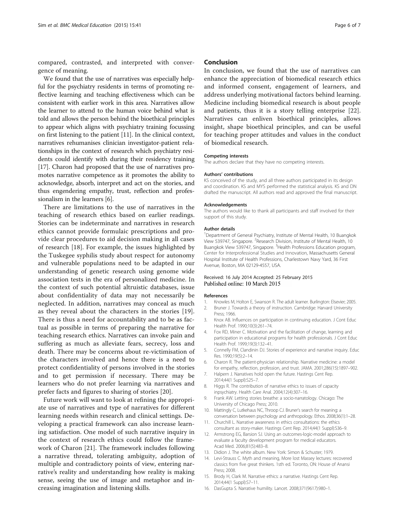<span id="page-5-0"></span>compared, contrasted, and interpreted with convergence of meaning.

We found that the use of narratives was especially helpful for the psychiatry residents in terms of promoting reflective learning and teaching effectiveness which can be consistent with earlier work in this area. Narratives allow the learner to attend to the human voice behind what is told and allows the person behind the bioethical principles to appear which aligns with psychiatry training focussing on first listening to the patient [11]. In the clinical context, narratives rehumanises clinician investigator-patient relationships in the context of research which psychiatry residents could identify with during their residency training [[17](#page-6-0)]. Charon had proposed that the use of narratives promotes narrative competence as it promotes the ability to acknowledge, absorb, interpret and act on the stories, and thus engendering empathy, trust, reflection and professionalism in the learners [6].

There are limitations to the use of narratives in the teaching of research ethics based on earlier readings. Stories can be indeterminate and narratives in research ethics cannot provide formulaic prescriptions and provide clear procedures to aid decision making in all cases of research [[18\]](#page-6-0). For example, the issues highlighted by the Tuskegee syphilis study about respect for autonomy and vulnerable populations need to be adapted in our understanding of genetic research using genome wide association tests in the era of personalized medicine. In the context of such potential altruistic databases, issue about confidentiality of data may not necessarily be neglected. In addition, narratives may conceal as much as they reveal about the characters in the stories [[19](#page-6-0)]. There is thus a need for accountability and to be as factual as possible in terms of preparing the narrative for teaching research ethics. Narratives can invoke pain and suffering as much as alleviate fears, secrecy, loss and death. There may be concerns about re-victimisation of the characters involved and hence there is a need to protect confidentiality of persons involved in the stories and to get permission if necessary. There may be learners who do not prefer learning via narratives and prefer facts and figures to sharing of stories [[20\]](#page-6-0).

Future work will want to look at refining the appropriate use of narratives and type of narratives for different learning needs within research and clinical settings. Developing a practical framework can also increase learning satisfaction. One model of such narrative inquiry in the context of research ethics could follow the framework of Charon [[21](#page-6-0)]. The framework includes following a narrative thread, tolerating ambiguity, adoption of multiple and contradictory points of view, entering narrative's reality and understanding how reality is making sense, seeing the use of image and metaphor and increasing imagination and listening skills.

#### Conclusion

In conclusion, we found that the use of narratives can enhance the appreciation of biomedical research ethics and informed consent, engagement of learners, and address underlying motivational factors behind learning. Medicine including biomedical research is about people and patients, thus it is a story telling enterprise [\[22](#page-6-0)]. Narratives can enliven bioethical principles, allows insight, shape bioethical principles, and can be useful for teaching proper attitudes and values in the conduct of biomedical research.

#### Competing interests

The authors declare that they have no competing interests.

#### Authors' contributions

KS conceived of the study, and all three authors participated in its design and coordination. KS and MYS performed the statistical analysis. KS and DN drafted the manuscript. All authors read and approved the final manuscript.

#### Acknowledgements

The authors would like to thank all participants and staff involved for their support of this study.

#### Author details

<sup>1</sup>Department of General Psychiatry, Institute of Mental Health, 10 Buangkok View 539747, Singapore. <sup>2</sup>Research Division, Institute of Mental Health, 10 Buangkok View 539747, Singapore. <sup>3</sup> Health Professions Education program, [Center for Interprofessional Studies and Innovation](http://www.mghihp.edu/academics/center-for-interprofessional-studies-and-innovation/default.aspx), Massachusetts General Hospital Institute of Health Professions, Charlestown Navy Yard, 36 First Avenue, Boston, MA 02129-4557, USA.

#### Received: 16 July 2014 Accepted: 25 February 2015 Published online: 10 March 2015

#### References

- 1. Knowles M, Holton E, Swanson R. The adult learner. Burlington: Elsevier; 2005. 2. Bruner J. Towards a theory of instruction. Cambridge: Harvard University
- Press; 1966. 3. Knox AB. Influences on participation in continuing education. J Cont Educ
- Health Prof. 1990;10(3):261–74.
- 4. Fox RD, Miner C. Motivation and the facilitation of change, learning and participation in educational programs for health professionals. J Cont Educ Health Prof. 1999;19(3):132–41.
- 5. Connelly FM, Clandinin DJ. Stories of experience and narrative inquiry. Educ Res. 1990;19(5):2–14.
- 6. Charon R. The patient-physician relationship. Narrative medicine: a model for empathy, reflection, profession, and trust. JAMA. 2001;286(15):1897–902.
- 7. Halpern J. Narratives hold open the future. Hastings Cent Rep. 2014;44(1 Suppl):S25–7.
- 8. Higgs R. The contribution of narrative ethics to issues of capacity inpsychiatry. Health Care Anal. 2004;12(4):307–16.
- 9. Frank AW. Letting stories breathe: a socio-narratology. Chicago: The University of Chicago Press; 2010.
- 10. Mattingly C, Lutkehaus NC, Throop CJ. Bruner's search for meaning: a conversation between psychology and anthropology. Ethos. 2008;36(1):1–28.
- 11. Churchill L. Narrative awareness in ethics consultations: the ethics consultant as story-maker. Hastings Cent Rep. 2014;44(1 Suppl):S36–9.
- 12. Armstrong EG, Barsion SJ. Using an outcomes-logic-model approach to evaluate a faculty development program for medical educators. Acad Med. 2006;81(5):483–8.
- 13. Didion J. The white album. New York: Simon & Schuster; 1979.
- 14. Levi-Strauss C. Myth and meaning, More lost Massey lectures: recovered classics from five great thinkers. 1sth ed. Toronto, ON: House of Anansi Press; 2008.
- 15. Brody H, Clark M. Narrative ethics: a narrative. Hastings Cent Rep. 2014;44(1 Suppl):S7–11.
- 16. DasGupta S. Narrative humility. Lancet. 2008;371(9617):980–1.